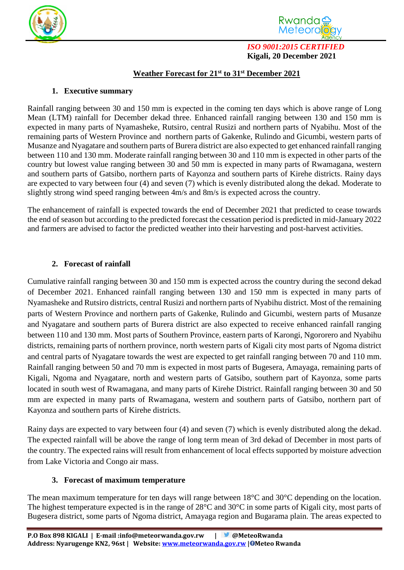



*ISO 9001:2015 CERTIFIED*  **Kigali, 20 December 2021**

## **Weather Forecast for 21 st to 31st December 2021**

#### **1. Executive summary**

Rainfall ranging between 30 and 150 mm is expected in the coming ten days which is above range of Long Mean (LTM) rainfall for December dekad three. Enhanced rainfall ranging between 130 and 150 mm is expected in many parts of Nyamasheke, Rutsiro, central Rusizi and northern parts of Nyabihu. Most of the remaining parts of Western Province and northern parts of Gakenke, Rulindo and Gicumbi, western parts of Musanze and Nyagatare and southern parts of Burera district are also expected to get enhanced rainfall ranging between 110 and 130 mm. Moderate rainfall ranging between 30 and 110 mm is expected in other parts of the country but lowest value ranging between 30 and 50 mm is expected in many parts of Rwamagana, western and southern parts of Gatsibo, northern parts of Kayonza and southern parts of Kirehe districts. Rainy days are expected to vary between four (4) and seven (7) which is evenly distributed along the dekad. Moderate to slightly strong wind speed ranging between 4m/s and 8m/s is expected across the country.

The enhancement of rainfall is expected towards the end of December 2021 that predicted to cease towards the end of season but according to the predicted forecast the cessation period is predicted in mid-January 2022 and farmers are advised to factor the predicted weather into their harvesting and post-harvest activities.

## **2. Forecast of rainfall**

Cumulative rainfall ranging between 30 and 150 mm is expected across the country during the second dekad of December 2021. Enhanced rainfall ranging between 130 and 150 mm is expected in many parts of Nyamasheke and Rutsiro districts, central Rusizi and northern parts of Nyabihu district. Most of the remaining parts of Western Province and northern parts of Gakenke, Rulindo and Gicumbi, western parts of Musanze and Nyagatare and southern parts of Burera district are also expected to receive enhanced rainfall ranging between 110 and 130 mm. Most parts of Southern Province, eastern parts of Karongi, Ngororero and Nyabihu districts, remaining parts of northern province, north western parts of Kigali city most parts of Ngoma district and central parts of Nyagatare towards the west are expected to get rainfall ranging between 70 and 110 mm. Rainfall ranging between 50 and 70 mm is expected in most parts of Bugesera, Amayaga, remaining parts of Kigali, Ngoma and Nyagatare, north and western parts of Gatsibo, southern part of Kayonza, some parts located in south west of Rwamagana, and many parts of Kirehe District. Rainfall ranging between 30 and 50 mm are expected in many parts of Rwamagana, western and southern parts of Gatsibo, northern part of Kayonza and southern parts of Kirehe districts.

Rainy days are expected to vary between four (4) and seven (7) which is evenly distributed along the dekad. The expected rainfall will be above the range of long term mean of 3rd dekad of December in most parts of the country. The expected rains will result from enhancement of local effects supported by moisture advection from Lake Victoria and Congo air mass.

## **3. Forecast of maximum temperature**

The mean maximum temperature for ten days will range between 18°C and 30°C depending on the location. The highest temperature expected is in the range of 28°C and 30°C in some parts of Kigali city, most parts of Bugesera district, some parts of Ngoma district, Amayaga region and Bugarama plain. The areas expected to